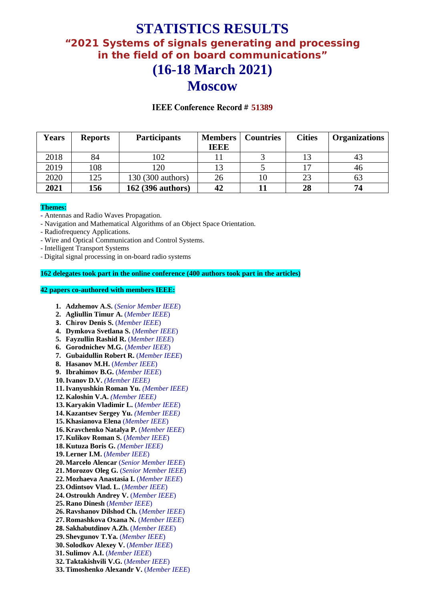## **STATISTICS RESULTS**

**"2021 Systems of signals generating and processing** 

**in the field of on board communications"**

# **(16-18 March 2021)**

## **Moscow**

### **IEEE Conference Record # 51389**

| <b>Years</b> | <b>Reports</b> | <b>Participants</b>      | <b>Members</b> | <b>Countries</b> | <b>Cities</b> | <b>Organizations</b> |
|--------------|----------------|--------------------------|----------------|------------------|---------------|----------------------|
|              |                |                          | <b>TEEE</b>    |                  |               |                      |
| 2018         | 84             | 102                      |                |                  |               | 43                   |
| 2019         | 108            | 120                      |                |                  |               | 46                   |
| 2020         | 125            | 130 (300 authors)        | 26             | 10               | 23            | 63                   |
| 2021         | 156            | <b>162 (396 authors)</b> | 42             |                  | 28            | 74                   |

#### **Themes:**

- Antennas and Radio Waves Propagation.
- Navigation and Mathematical Algorithms of an Object Space Orientation.
- Radiofrequency Applications.
- Wire and Optical Communication and Control Systems.
- Intelligent Transport Systems
- ‐ Digital signal processing in on-board radio systems

#### **162 delegates took part in the online conference (400 authors took part in the articles)**

#### **42 papers co-authored with members IEEE:**

- **1. Adzhemov A.S.** (*Senior Member IEEE*)
- **2. Agliullin Timur A.** (*Member IEEE*)
- **3. Ch**i**rov Denis S.** (*Member IEEE*)
- **4. Dymkova Svetlana S.** (*Member IEEE*)
- **5. Fayzullin Rashid R.** (*Member IEEE*)
- **6. Gorodnichev M.G.** (*Member IEEE*)
- **7. Gubaidullin Robert R.** (*Member IEEE*)
- **8. Hasanov M.H.** (*Member IEEE*)
- **9. Ibrahimov B.G.** (*Member IEEE*)
- **10.Ivanov D.V.** *(Member IEEE)*
- **11.Ivanyushkin Roman Yu.** *(Member IEEE)*
- **12. Kaloshin V.A.** *(Member IEEE)*
- **13. Karyakin Vladimir L.** (*Member IEEE*)
- **14. Kazantsev Sergey Yu.** *(Member IEEE)*
- **15. Khasianova Elena** (*Member IEEE*)
- **16. Kravchenko Natalya P.** (*Member IEEE*)
- **17. Kulikov Roman S.** (*Member IEEE*)
- **18. Kutuza Boris G.** *(Member IEEE)*
- **19.Lerner I.M.** (*Member IEEE*)
- **20.Marcelo Alencar** (*Senior Member IEEE*) **21.Morozov Oleg G.** (*Senior Member IEEE*)
- **22.Mozhaeva Anastasia I.** (*Member IEEE*)
- **23. Odintsov Vlad. L.** (*Member IEEE*)
- **24. Ostroukh Andrey V.** (*Member IEEE*)
- **25. Rano Dinesh** (*Member IEEE*)
- **26. Ravshanov Dilshod Ch.** (*Member IEEE*)
- **27. Romashkova Oxana N.** (*Member IEEE*)
- **28. Sakhabutdinov A.Zh.** (*Member IEEE*)
- **29. Shevgunov T.Ya.** (*Member IEEE*)
- **30. Solodkov Alexey V.** (*Member IEEE*)
- **31. Sulimov A.I.** (*Member IEEE*)
- **32.Taktakishvili V.G.** (*Member IEEE*)
- **33.Timoshenko Alexandr V.** (*Member IEEE*)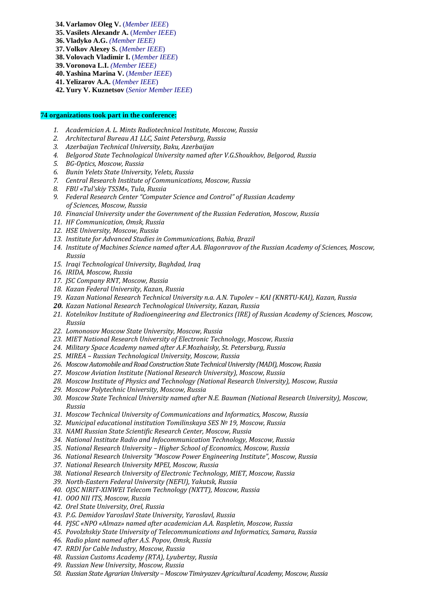- **34. Varlamov Oleg V.** (*Member IEEE*)
- **35. Vasilets Alexandr A.** (*Member IEEE*)
- **36. Vladyko A.G.** *(Member IEEE)*
- **37. Volkov Alexey S.** (*Member IEEE*)
- **38. Volovach Vladimir I.** (*Member IEEE*)
- **39. Voronova L.I.** *(Member IEEE)*
- **40. Yashina Marina V.** (*Member IEEE*)
- **41. Yelizarov A.A.** (*Member IEEE*)
- **42. Yury V. Kuznetsov** (*Senior Member IEEE*)

#### **74 organizations took part in the conference:**

- *1. Academician A. L. Mints Radiotechnical Institute, Moscow, Russia*
- *2. Architectural Bureau A1 LLC, Saint Petersburg, Russia*
- *3. Azerbaijan Technical University, Baku, Azerbaijan*
- *4. Belgorod State Technological University named after V.G.Shoukhov, Belgorod, Russia*
- *5. BGОptics, Moscow, Russia*
- *6. Bunin Yelets State University, Yelets, Russia*
- *7. Central Research Institute of Communications, Moscow, Russia*
- *8. FBU «Tul'skiy TSSM», Tula, Russia*
- *9. Federal Research Center "Computer Science and Control" of Russian Academy of Sciences, Moscow, Russia*
- *10. Financial University under the Government of the Russian Federation, Moscow, Russia*
- *11. HF Communication, Omsk, Russia*
- *12. HSE University, Moscow, Russia*
- *13. Institute for Advanced Studies in Communications, Bahia, Brazil*
- *14. Institute of Machines Science named after A.A. Blagonravov of the Russian Academy of Sciences, Moscow, Russia*
- *15. Iraqi Technological University, Baghdad, Iraq*
- *16. IRIDA, Moscow, Russia*
- *17. JSC Company RNT, Moscow, Russia*
- *18. Kazan Federal University, Kazan, Russia*
- *19. Kazan National Research Technical University n.a. A.N. Tupolev – KAI (KNRTUKAI), Kazan, Russia*
- *20. Kazan National Research Technological University, Kazan, Russia*
- *21. Kotelnikov Institute of Radioengineering and Electronics (IRE) of Russian Academy of Sciences, Moscow, Russia*
- *22. Lomonosov Moscow State University, Moscow, Russia*
- *23. MIET National Research University of Electronic Technology, Moscow, Russia*
- *24. Military Space Academy named after A.F.Mozhaisky, St. Petersburg, Russia*
- *25. MIREA – Russian Technological University, Moscow, Russia*
- *26. MoscowAutomobile andRoad Construction StateTechnicalUniversity (MADI),Moscow,Russia*
- *27. Moscow Aviation Institute (National Research University), Moscow, Russia*
- *28. Moscow Institute of Physics and Technology (National Research University), Moscow, Russia*
- *29. Moscow Polytechnic University, Moscow, Russia*
- *30. Moscow State Technical University named after N.E. Bauman (National Research University), Moscow, Russia*
- *31. Moscow Technical University of Communications and Informatics, Moscow, Russia*
- *32. Municipal educational institution Tomilinskaya SES № 19, Moscow, Russia*
- *33. NAMI Russian State Scientific Research Center, Moscow, Russia*
- *34. National Institute Radio and Infocommunication Technology, Moscow, Russia*
- *35. National Research University – Higher School of Economics, Moscow, Russia*
- *36. National Research University "Moscow Power Engineering Institute", Moscow, Russia*
- *37. National Research University MPEI, Moscow, Russia*
- *38. National Research University of Electronic Technology, MIET, Moscow, Russia*
- *39. NorthEastern Federal University (NEFU), Yakutsk, Russia*
- *40. OJSC NIRITXINWEI Telecom Technology (NXTT), Moscow, Russia*
- *41. OOO NII ITS, Moscow, Russia*
- *42. Orel State University, Orel, Russia*
- *43. P.G. Demidov Yaroslavl State University, Yaroslavl, Russia*
- *44. PJSC «NPO «Almaz» named after academician A.A. Raspletin, Moscow, Russia*
- *45. Povolzhskiy State University of Telecommunications and Informatics, Samara, Russia*
- *46. Radio plant named after A.S. Popov, Omsk, Russia*
- *47. RRDI for Cable Industry, Moscow, Russia*
- *48. Russian Customs Academy (RTA), Lyubertsy, Russia*
- *49. Russian New University, Moscow, Russia*
- *50. Russian State Agrarian University – Moscow Timiryazev Agricultural Academy, Moscow, Russia*